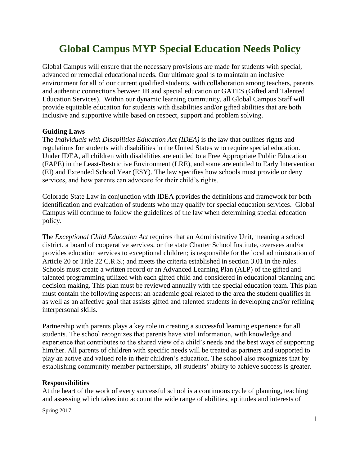# **Global Campus MYP Special Education Needs Policy**

Global Campus will ensure that the necessary provisions are made for students with special, advanced or remedial educational needs. Our ultimate goal is to maintain an inclusive environment for all of our current qualified students, with collaboration among teachers, parents and authentic connections between IB and special education or GATES (Gifted and Talented Education Services). Within our dynamic learning community, all Global Campus Staff will provide equitable education for students with disabilities and/or gifted abilities that are both inclusive and supportive while based on respect, support and problem solving.

#### **Guiding Laws**

The *Individuals with Disabilities Education Act (IDEA)* is the law that outlines rights and regulations for students with disabilities in the United States who require special education. Under IDEA, all children with disabilities are entitled to a [Free Appropriate Public Education](http://specialchildren.about.com/od/specialeducation/g/FAPE.htm)  [\(FAPE\)](http://specialchildren.about.com/od/specialeducation/g/FAPE.htm) in the [Least-Restrictive Environment \(LRE\),](http://specialchildren.about.com/od/specialeducation/g/LRE.htm) and some are entitled to [Early Intervention](http://specialchildren.about.com/od/earlyintervention/g/EI.htm)  [\(EI\)](http://specialchildren.about.com/od/earlyintervention/g/EI.htm) and [Extended School Year \(ESY\).](http://specialchildren.about.com/od/idea/g/ESY.htm) The law specifies how schools must provide or deny services, and how parents can advocate for their child's rights.

Colorado State Law in conjunction with IDEA provides the definitions and framework for both identification and evaluation of students who may qualify for special education services. Global Campus will continue to follow the guidelines of the law when determining special education policy.

The *Exceptional Child Education Act* requires that an Administrative Unit, meaning a school district, a board of cooperative services, or the state Charter School Institute, oversees and/or provides education services to exceptional children; is responsible for the local administration of Article 20 or Title 22 C.R.S.; and meets the criteria established in section 3.01 in the rules. Schools must create a written record or an Advanced Learning Plan (ALP) of the gifted and talented programming utilized with each gifted child and considered in educational planning and decision making. This plan must be reviewed annually with the special education team. This plan must contain the following aspects: an academic goal related to the area the student qualifies in as well as an affective goal that assists gifted and talented students in developing and/or refining interpersonal skills.

Partnership with parents plays a key role in creating a successful learning experience for all students. The school recognizes that parents have vital information, with knowledge and experience that contributes to the shared view of a child's needs and the best ways of supporting him/her. All parents of children with specific needs will be treated as partners and supported to play an active and valued role in their children's education. The school also recognizes that by establishing community member partnerships, all students' ability to achieve success is greater.

#### **Responsibilities**

At the heart of the work of every successful school is a continuous cycle of planning, teaching and assessing which takes into account the wide range of abilities, aptitudes and interests of

Spring 2017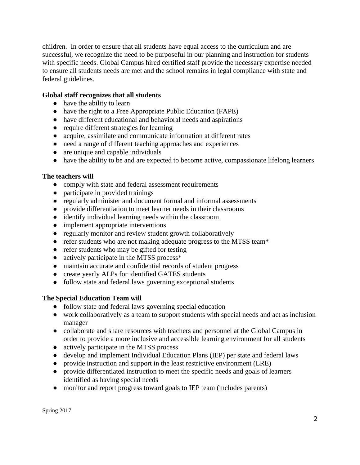children. In order to ensure that all students have equal access to the curriculum and are successful, we recognize the need to be purposeful in our planning and instruction for students with specific needs. Global Campus hired certified staff provide the necessary expertise needed to ensure all students needs are met and the school remains in legal compliance with state and federal guidelines.

## **Global staff recognizes that all students**

- have the ability to learn
- have the right to a Free Appropriate Public Education (FAPE)
- have different educational and behavioral needs and aspirations
- require different strategies for learning
- acquire, assimilate and communicate information at different rates
- need a range of different teaching approaches and experiences
- are unique and capable individuals
- have the ability to be and are expected to become active, compassionate lifelong learners

#### **The teachers will**

- comply with state and federal assessment requirements
- participate in provided trainings
- regularly administer and document formal and informal assessments
- provide differentiation to meet learner needs in their classrooms
- identify individual learning needs within the classroom
- implement appropriate interventions
- regularly monitor and review student growth collaboratively
- refer students who are not making adequate progress to the MTSS team\*
- refer students who may be gifted for testing
- actively participate in the MTSS process\*
- maintain accurate and confidential records of student progress
- create yearly ALPs for identified GATES students
- follow state and federal laws governing exceptional students

#### **The Special Education Team will**

- follow state and federal laws governing special education
- work collaboratively as a team to support students with special needs and act as inclusion manager
- collaborate and share resources with teachers and personnel at the Global Campus in order to provide a more inclusive and accessible learning environment for all students
- actively participate in the MTSS process
- develop and implement Individual Education Plans (IEP) per state and federal laws
- provide instruction and support in the least restrictive environment (LRE)
- provide differentiated instruction to meet the specific needs and goals of learners identified as having special needs
- monitor and report progress toward goals to IEP team (includes parents)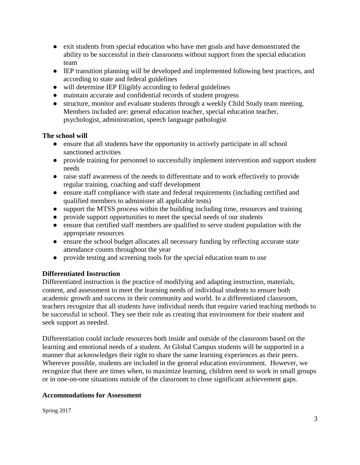- exit students from special education who have met goals and have demonstrated the ability to be successful in their classrooms without support from the special education team
- IEP transition planning will be developed and implemented following best practices, and according to state and federal guidelines
- will determine IEP Eligibly according to federal guidelines
- maintain accurate and confidential records of student progress
- structure, monitor and evaluate students through a weekly Child Study team meeting. Members included are: general education teacher, special education teacher, psychologist, administration, speech language pathologist

### **The school will**

- ensure that all students have the opportunity to actively participate in all school sanctioned activities
- provide training for personnel to successfully implement intervention and support student needs
- raise staff awareness of the needs to differentiate and to work effectively to provide regular training, coaching and staff development
- ensure staff compliance with state and federal requirements (including certified and qualified members to administer all applicable tests)
- support the MTSS process within the building including time, resources and training
- provide support opportunities to meet the special needs of our students
- ensure that certified staff members are qualified to serve student population with the appropriate resources
- ensure the school budget allocates all necessary funding by reflecting accurate state attendance counts throughout the year
- provide testing and screening tools for the special education team to use

# **Differentiated Instruction**

Differentiated instruction is the practice of modifying and adapting instruction, materials, content, and assessment to meet the learning needs of individual students to ensure both academic growth and success in their community and world. In a differentiated classroom, teachers recognize that all students have individual needs that require varied teaching methods to be successful in school. They see their role as creating that environment for their student and seek support as needed.

Differentiation could include resources both inside and outside of the classroom based on the learning and emotional needs of a student. At Global Campus students will be supported in a manner that acknowledges their right to share the same learning experiences as their peers. Wherever possible, students are included in the general education environment. However, we recognize that there are times when, to maximize learning, children need to work in small groups or in one-on-one situations outside of the classroom to close significant achievement gaps.

#### **Accommodations for Assessment**

Spring 2017